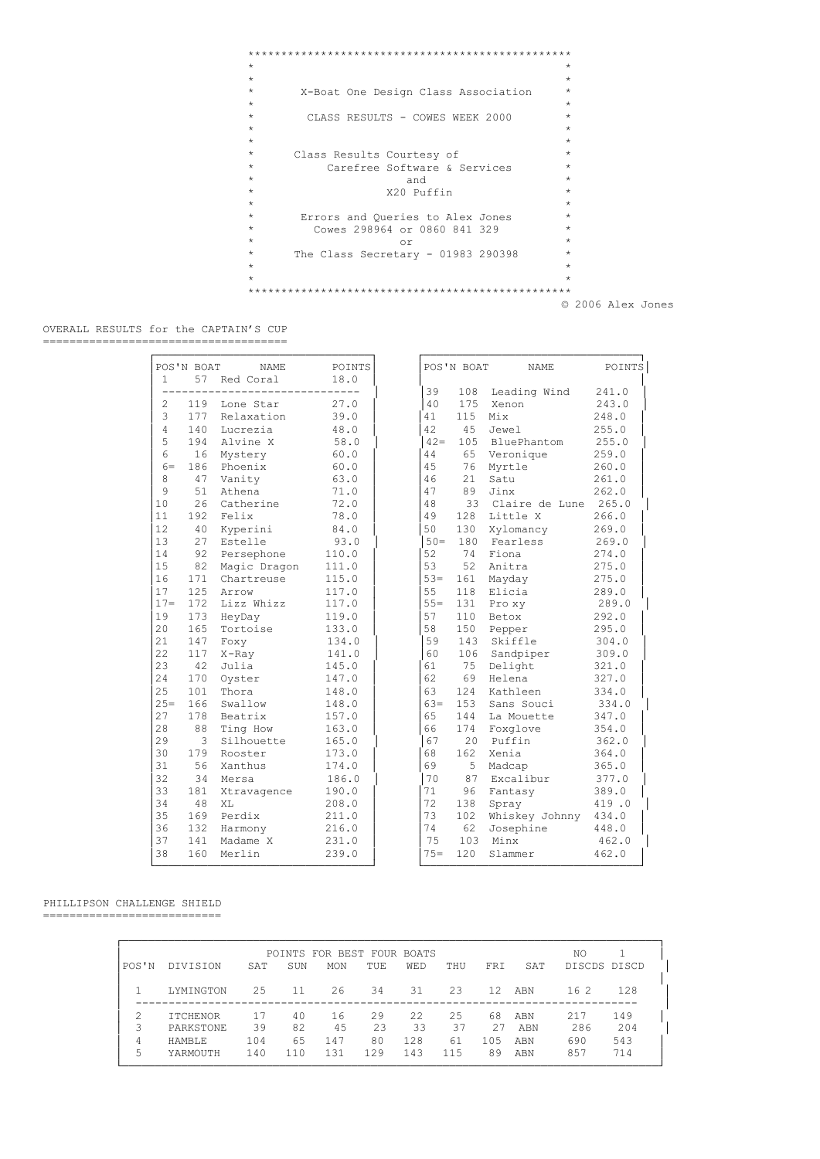```
*************************************************
\star \star\star \star* X-Boat One Design Class Association *
\star \star* CLASS RESULTS - COWES WEEK 2000 *
\star \star\star \star* Class Results Courtesy of *
* Carefree Software & Services<br>* Carefree Software & Services
\star and \star* X20 Puffin *
\star \star* Errors and Queries to Alex Jones *
* Cowes 298964 or 0860 841 329 *
\star or \star* The Class Secretary - 01983 290398 *
\star \star\star \star*************************************************
```
© 2006 Alex Jones

 OVERALL RESULTS for the CAPTAIN'S CUP =====================================

| Leading Wind<br>39<br>108<br>241.0<br>175<br>243.0<br>2<br>119<br>Lone Star<br>27.0<br>40<br>Xenon<br>3<br>177<br>Relaxation<br>39.0<br>115<br>Mix<br>248.0<br>41<br>$\overline{4}$<br>140<br>Lucrezia<br>48.0<br>42<br>45<br>Jewel<br>255.0<br>5<br>Alvine X<br>BluePhantom<br>255.0<br>194<br>58.0<br>$42 =$<br>105<br>6<br>16<br>60.0<br>44<br>65 Veronique<br>259.0<br>Mystery<br>186 Phoenix<br>45<br>$6 =$<br>60.0<br>76<br>Myrtle<br>260.0<br>8<br>47<br>63.0<br>46<br>21<br>Satu<br>261.0<br>Vanity<br>9<br>51<br>Athena<br>47<br>89<br>Jinx<br>71.0<br>262.0<br>10<br>26<br>Catherine<br>72.0<br>48<br>33<br>Claire de Lune 265.0<br>11<br>192<br>Felix<br>49<br>128<br>Little X<br>266.0<br>78.0<br>12<br>40<br>Kyperini<br>84.0<br>50<br>130<br>Xylomancy<br>269.0<br>13<br>93.0<br>$50 =$<br>180<br>Fearless<br>269.0<br>27<br>Estelle<br>14<br>92<br>Persephone<br>52<br>74<br>Fiona<br>274.0<br>110.0<br>15<br>82 Magic Dragon<br>53<br>52<br>Anitra<br>275.0<br>111.0<br>16<br>171 Chartreuse<br>115.0<br>$53 =$<br>161<br>275.0<br>Mayday<br>17<br>125<br>55<br>118<br>Arrow<br>117.0<br>Elicia<br>289.0<br>$17 =$<br>Lizz Whizz<br>172<br>$55 =$<br>131<br>289.0<br>117.0<br>Pro xv<br>19<br>57<br>173<br>HeyDay<br>110<br>Betox<br>292.0<br>119.0<br>20<br>58<br>165<br>Tortoise<br>150<br>295.0<br>133.0<br>Pepper<br>21<br>143<br>Skiffle<br>147<br>Foxy<br>134.0<br>59<br>304.0<br>22<br>141.0<br>60<br>106<br>309.0<br>117<br>X-Ray<br>Sandpiper<br>23<br>42<br>Julia<br>145.0<br>61<br>75<br>Delight<br>321.0<br>24<br>170<br>62<br>69<br>Helena<br>327.0<br>Oyster<br>147.0<br>25<br>101<br>63<br>124<br>Kathleen<br>334.0<br>Thora<br>148.0<br>$25=$<br>153<br>334.0<br>166<br>Swallow<br>148.0<br>$63 =$<br>Sans Souci<br>27<br>65<br>178<br>Beatrix<br>157.0<br>144<br>La Mouette<br>347.0<br>28<br>88<br>Ting How<br>66<br>174<br>Foxglove<br>354.0<br>163.0<br>29<br>3<br>67<br>20<br>Puffin<br>362.0<br>Silhouette<br>165.0<br>30<br>162<br>179<br>173.0<br>68<br>Xenia<br>364.0<br>Rooster<br>31<br>56<br>69<br>5 <sup>1</sup><br>Xanthus<br>174.0<br>Madcap<br>365.0<br>32<br>87<br>34<br>70<br>Excalibur<br>377.0<br>Mersa<br>186.0<br>33<br>181<br>Xtravagence<br>190.0<br>71<br>96<br>Fantasy<br>389.0<br>34<br>48<br>XL<br>208.0<br>72<br>138<br>419.0<br>Spray<br>35<br>169<br>Perdix<br>73<br>102<br>Whiskey Johnny<br>434.0<br>211.0<br>36<br>62<br>132<br>74<br>Josephine<br>448.0<br>Harmony<br>216.0<br>37<br>141<br>Madame X<br>75<br>103<br>Minx<br>462.0<br>231.0 | <b>NAME</b><br>Red Coral | POINTS<br>18.0 |  |        | POS'N BOAT | NAME    | POINTS |  |
|----------------------------------------------------------------------------------------------------------------------------------------------------------------------------------------------------------------------------------------------------------------------------------------------------------------------------------------------------------------------------------------------------------------------------------------------------------------------------------------------------------------------------------------------------------------------------------------------------------------------------------------------------------------------------------------------------------------------------------------------------------------------------------------------------------------------------------------------------------------------------------------------------------------------------------------------------------------------------------------------------------------------------------------------------------------------------------------------------------------------------------------------------------------------------------------------------------------------------------------------------------------------------------------------------------------------------------------------------------------------------------------------------------------------------------------------------------------------------------------------------------------------------------------------------------------------------------------------------------------------------------------------------------------------------------------------------------------------------------------------------------------------------------------------------------------------------------------------------------------------------------------------------------------------------------------------------------------------------------------------------------------------------------------------------------------------------------------------------------------------------------------------------------------------------------------------------------------------------------------------------------------------------------------------------------------------------------------------------------------------------------------------------------------------------------------------------------------------------------------------------------------|--------------------------|----------------|--|--------|------------|---------|--------|--|
|                                                                                                                                                                                                                                                                                                                                                                                                                                                                                                                                                                                                                                                                                                                                                                                                                                                                                                                                                                                                                                                                                                                                                                                                                                                                                                                                                                                                                                                                                                                                                                                                                                                                                                                                                                                                                                                                                                                                                                                                                                                                                                                                                                                                                                                                                                                                                                                                                                                                                                                |                          |                |  |        |            |         |        |  |
|                                                                                                                                                                                                                                                                                                                                                                                                                                                                                                                                                                                                                                                                                                                                                                                                                                                                                                                                                                                                                                                                                                                                                                                                                                                                                                                                                                                                                                                                                                                                                                                                                                                                                                                                                                                                                                                                                                                                                                                                                                                                                                                                                                                                                                                                                                                                                                                                                                                                                                                |                          |                |  |        |            |         |        |  |
|                                                                                                                                                                                                                                                                                                                                                                                                                                                                                                                                                                                                                                                                                                                                                                                                                                                                                                                                                                                                                                                                                                                                                                                                                                                                                                                                                                                                                                                                                                                                                                                                                                                                                                                                                                                                                                                                                                                                                                                                                                                                                                                                                                                                                                                                                                                                                                                                                                                                                                                |                          |                |  |        |            |         |        |  |
|                                                                                                                                                                                                                                                                                                                                                                                                                                                                                                                                                                                                                                                                                                                                                                                                                                                                                                                                                                                                                                                                                                                                                                                                                                                                                                                                                                                                                                                                                                                                                                                                                                                                                                                                                                                                                                                                                                                                                                                                                                                                                                                                                                                                                                                                                                                                                                                                                                                                                                                |                          |                |  |        |            |         |        |  |
|                                                                                                                                                                                                                                                                                                                                                                                                                                                                                                                                                                                                                                                                                                                                                                                                                                                                                                                                                                                                                                                                                                                                                                                                                                                                                                                                                                                                                                                                                                                                                                                                                                                                                                                                                                                                                                                                                                                                                                                                                                                                                                                                                                                                                                                                                                                                                                                                                                                                                                                |                          |                |  |        |            |         |        |  |
|                                                                                                                                                                                                                                                                                                                                                                                                                                                                                                                                                                                                                                                                                                                                                                                                                                                                                                                                                                                                                                                                                                                                                                                                                                                                                                                                                                                                                                                                                                                                                                                                                                                                                                                                                                                                                                                                                                                                                                                                                                                                                                                                                                                                                                                                                                                                                                                                                                                                                                                |                          |                |  |        |            |         |        |  |
|                                                                                                                                                                                                                                                                                                                                                                                                                                                                                                                                                                                                                                                                                                                                                                                                                                                                                                                                                                                                                                                                                                                                                                                                                                                                                                                                                                                                                                                                                                                                                                                                                                                                                                                                                                                                                                                                                                                                                                                                                                                                                                                                                                                                                                                                                                                                                                                                                                                                                                                |                          |                |  |        |            |         |        |  |
|                                                                                                                                                                                                                                                                                                                                                                                                                                                                                                                                                                                                                                                                                                                                                                                                                                                                                                                                                                                                                                                                                                                                                                                                                                                                                                                                                                                                                                                                                                                                                                                                                                                                                                                                                                                                                                                                                                                                                                                                                                                                                                                                                                                                                                                                                                                                                                                                                                                                                                                |                          |                |  |        |            |         |        |  |
|                                                                                                                                                                                                                                                                                                                                                                                                                                                                                                                                                                                                                                                                                                                                                                                                                                                                                                                                                                                                                                                                                                                                                                                                                                                                                                                                                                                                                                                                                                                                                                                                                                                                                                                                                                                                                                                                                                                                                                                                                                                                                                                                                                                                                                                                                                                                                                                                                                                                                                                |                          |                |  |        |            |         |        |  |
|                                                                                                                                                                                                                                                                                                                                                                                                                                                                                                                                                                                                                                                                                                                                                                                                                                                                                                                                                                                                                                                                                                                                                                                                                                                                                                                                                                                                                                                                                                                                                                                                                                                                                                                                                                                                                                                                                                                                                                                                                                                                                                                                                                                                                                                                                                                                                                                                                                                                                                                |                          |                |  |        |            |         |        |  |
|                                                                                                                                                                                                                                                                                                                                                                                                                                                                                                                                                                                                                                                                                                                                                                                                                                                                                                                                                                                                                                                                                                                                                                                                                                                                                                                                                                                                                                                                                                                                                                                                                                                                                                                                                                                                                                                                                                                                                                                                                                                                                                                                                                                                                                                                                                                                                                                                                                                                                                                |                          |                |  |        |            |         |        |  |
|                                                                                                                                                                                                                                                                                                                                                                                                                                                                                                                                                                                                                                                                                                                                                                                                                                                                                                                                                                                                                                                                                                                                                                                                                                                                                                                                                                                                                                                                                                                                                                                                                                                                                                                                                                                                                                                                                                                                                                                                                                                                                                                                                                                                                                                                                                                                                                                                                                                                                                                |                          |                |  |        |            |         |        |  |
|                                                                                                                                                                                                                                                                                                                                                                                                                                                                                                                                                                                                                                                                                                                                                                                                                                                                                                                                                                                                                                                                                                                                                                                                                                                                                                                                                                                                                                                                                                                                                                                                                                                                                                                                                                                                                                                                                                                                                                                                                                                                                                                                                                                                                                                                                                                                                                                                                                                                                                                |                          |                |  |        |            |         |        |  |
|                                                                                                                                                                                                                                                                                                                                                                                                                                                                                                                                                                                                                                                                                                                                                                                                                                                                                                                                                                                                                                                                                                                                                                                                                                                                                                                                                                                                                                                                                                                                                                                                                                                                                                                                                                                                                                                                                                                                                                                                                                                                                                                                                                                                                                                                                                                                                                                                                                                                                                                |                          |                |  |        |            |         |        |  |
|                                                                                                                                                                                                                                                                                                                                                                                                                                                                                                                                                                                                                                                                                                                                                                                                                                                                                                                                                                                                                                                                                                                                                                                                                                                                                                                                                                                                                                                                                                                                                                                                                                                                                                                                                                                                                                                                                                                                                                                                                                                                                                                                                                                                                                                                                                                                                                                                                                                                                                                |                          |                |  |        |            |         |        |  |
|                                                                                                                                                                                                                                                                                                                                                                                                                                                                                                                                                                                                                                                                                                                                                                                                                                                                                                                                                                                                                                                                                                                                                                                                                                                                                                                                                                                                                                                                                                                                                                                                                                                                                                                                                                                                                                                                                                                                                                                                                                                                                                                                                                                                                                                                                                                                                                                                                                                                                                                |                          |                |  |        |            |         |        |  |
|                                                                                                                                                                                                                                                                                                                                                                                                                                                                                                                                                                                                                                                                                                                                                                                                                                                                                                                                                                                                                                                                                                                                                                                                                                                                                                                                                                                                                                                                                                                                                                                                                                                                                                                                                                                                                                                                                                                                                                                                                                                                                                                                                                                                                                                                                                                                                                                                                                                                                                                |                          |                |  |        |            |         |        |  |
|                                                                                                                                                                                                                                                                                                                                                                                                                                                                                                                                                                                                                                                                                                                                                                                                                                                                                                                                                                                                                                                                                                                                                                                                                                                                                                                                                                                                                                                                                                                                                                                                                                                                                                                                                                                                                                                                                                                                                                                                                                                                                                                                                                                                                                                                                                                                                                                                                                                                                                                |                          |                |  |        |            |         |        |  |
|                                                                                                                                                                                                                                                                                                                                                                                                                                                                                                                                                                                                                                                                                                                                                                                                                                                                                                                                                                                                                                                                                                                                                                                                                                                                                                                                                                                                                                                                                                                                                                                                                                                                                                                                                                                                                                                                                                                                                                                                                                                                                                                                                                                                                                                                                                                                                                                                                                                                                                                |                          |                |  |        |            |         |        |  |
|                                                                                                                                                                                                                                                                                                                                                                                                                                                                                                                                                                                                                                                                                                                                                                                                                                                                                                                                                                                                                                                                                                                                                                                                                                                                                                                                                                                                                                                                                                                                                                                                                                                                                                                                                                                                                                                                                                                                                                                                                                                                                                                                                                                                                                                                                                                                                                                                                                                                                                                |                          |                |  |        |            |         |        |  |
|                                                                                                                                                                                                                                                                                                                                                                                                                                                                                                                                                                                                                                                                                                                                                                                                                                                                                                                                                                                                                                                                                                                                                                                                                                                                                                                                                                                                                                                                                                                                                                                                                                                                                                                                                                                                                                                                                                                                                                                                                                                                                                                                                                                                                                                                                                                                                                                                                                                                                                                |                          |                |  |        |            |         |        |  |
|                                                                                                                                                                                                                                                                                                                                                                                                                                                                                                                                                                                                                                                                                                                                                                                                                                                                                                                                                                                                                                                                                                                                                                                                                                                                                                                                                                                                                                                                                                                                                                                                                                                                                                                                                                                                                                                                                                                                                                                                                                                                                                                                                                                                                                                                                                                                                                                                                                                                                                                |                          |                |  |        |            |         |        |  |
|                                                                                                                                                                                                                                                                                                                                                                                                                                                                                                                                                                                                                                                                                                                                                                                                                                                                                                                                                                                                                                                                                                                                                                                                                                                                                                                                                                                                                                                                                                                                                                                                                                                                                                                                                                                                                                                                                                                                                                                                                                                                                                                                                                                                                                                                                                                                                                                                                                                                                                                |                          |                |  |        |            |         |        |  |
|                                                                                                                                                                                                                                                                                                                                                                                                                                                                                                                                                                                                                                                                                                                                                                                                                                                                                                                                                                                                                                                                                                                                                                                                                                                                                                                                                                                                                                                                                                                                                                                                                                                                                                                                                                                                                                                                                                                                                                                                                                                                                                                                                                                                                                                                                                                                                                                                                                                                                                                |                          |                |  |        |            |         |        |  |
|                                                                                                                                                                                                                                                                                                                                                                                                                                                                                                                                                                                                                                                                                                                                                                                                                                                                                                                                                                                                                                                                                                                                                                                                                                                                                                                                                                                                                                                                                                                                                                                                                                                                                                                                                                                                                                                                                                                                                                                                                                                                                                                                                                                                                                                                                                                                                                                                                                                                                                                |                          |                |  |        |            |         |        |  |
|                                                                                                                                                                                                                                                                                                                                                                                                                                                                                                                                                                                                                                                                                                                                                                                                                                                                                                                                                                                                                                                                                                                                                                                                                                                                                                                                                                                                                                                                                                                                                                                                                                                                                                                                                                                                                                                                                                                                                                                                                                                                                                                                                                                                                                                                                                                                                                                                                                                                                                                |                          |                |  |        |            |         |        |  |
|                                                                                                                                                                                                                                                                                                                                                                                                                                                                                                                                                                                                                                                                                                                                                                                                                                                                                                                                                                                                                                                                                                                                                                                                                                                                                                                                                                                                                                                                                                                                                                                                                                                                                                                                                                                                                                                                                                                                                                                                                                                                                                                                                                                                                                                                                                                                                                                                                                                                                                                |                          |                |  |        |            |         |        |  |
|                                                                                                                                                                                                                                                                                                                                                                                                                                                                                                                                                                                                                                                                                                                                                                                                                                                                                                                                                                                                                                                                                                                                                                                                                                                                                                                                                                                                                                                                                                                                                                                                                                                                                                                                                                                                                                                                                                                                                                                                                                                                                                                                                                                                                                                                                                                                                                                                                                                                                                                |                          |                |  |        |            |         |        |  |
|                                                                                                                                                                                                                                                                                                                                                                                                                                                                                                                                                                                                                                                                                                                                                                                                                                                                                                                                                                                                                                                                                                                                                                                                                                                                                                                                                                                                                                                                                                                                                                                                                                                                                                                                                                                                                                                                                                                                                                                                                                                                                                                                                                                                                                                                                                                                                                                                                                                                                                                |                          |                |  |        |            |         |        |  |
|                                                                                                                                                                                                                                                                                                                                                                                                                                                                                                                                                                                                                                                                                                                                                                                                                                                                                                                                                                                                                                                                                                                                                                                                                                                                                                                                                                                                                                                                                                                                                                                                                                                                                                                                                                                                                                                                                                                                                                                                                                                                                                                                                                                                                                                                                                                                                                                                                                                                                                                |                          |                |  |        |            |         |        |  |
|                                                                                                                                                                                                                                                                                                                                                                                                                                                                                                                                                                                                                                                                                                                                                                                                                                                                                                                                                                                                                                                                                                                                                                                                                                                                                                                                                                                                                                                                                                                                                                                                                                                                                                                                                                                                                                                                                                                                                                                                                                                                                                                                                                                                                                                                                                                                                                                                                                                                                                                |                          |                |  |        |            |         |        |  |
|                                                                                                                                                                                                                                                                                                                                                                                                                                                                                                                                                                                                                                                                                                                                                                                                                                                                                                                                                                                                                                                                                                                                                                                                                                                                                                                                                                                                                                                                                                                                                                                                                                                                                                                                                                                                                                                                                                                                                                                                                                                                                                                                                                                                                                                                                                                                                                                                                                                                                                                |                          |                |  |        |            |         |        |  |
|                                                                                                                                                                                                                                                                                                                                                                                                                                                                                                                                                                                                                                                                                                                                                                                                                                                                                                                                                                                                                                                                                                                                                                                                                                                                                                                                                                                                                                                                                                                                                                                                                                                                                                                                                                                                                                                                                                                                                                                                                                                                                                                                                                                                                                                                                                                                                                                                                                                                                                                |                          |                |  |        |            |         |        |  |
|                                                                                                                                                                                                                                                                                                                                                                                                                                                                                                                                                                                                                                                                                                                                                                                                                                                                                                                                                                                                                                                                                                                                                                                                                                                                                                                                                                                                                                                                                                                                                                                                                                                                                                                                                                                                                                                                                                                                                                                                                                                                                                                                                                                                                                                                                                                                                                                                                                                                                                                |                          |                |  |        |            |         |        |  |
|                                                                                                                                                                                                                                                                                                                                                                                                                                                                                                                                                                                                                                                                                                                                                                                                                                                                                                                                                                                                                                                                                                                                                                                                                                                                                                                                                                                                                                                                                                                                                                                                                                                                                                                                                                                                                                                                                                                                                                                                                                                                                                                                                                                                                                                                                                                                                                                                                                                                                                                |                          |                |  |        |            |         |        |  |
|                                                                                                                                                                                                                                                                                                                                                                                                                                                                                                                                                                                                                                                                                                                                                                                                                                                                                                                                                                                                                                                                                                                                                                                                                                                                                                                                                                                                                                                                                                                                                                                                                                                                                                                                                                                                                                                                                                                                                                                                                                                                                                                                                                                                                                                                                                                                                                                                                                                                                                                |                          |                |  |        |            |         |        |  |
|                                                                                                                                                                                                                                                                                                                                                                                                                                                                                                                                                                                                                                                                                                                                                                                                                                                                                                                                                                                                                                                                                                                                                                                                                                                                                                                                                                                                                                                                                                                                                                                                                                                                                                                                                                                                                                                                                                                                                                                                                                                                                                                                                                                                                                                                                                                                                                                                                                                                                                                |                          |                |  |        |            |         |        |  |
| 38<br>160<br>Merlin                                                                                                                                                                                                                                                                                                                                                                                                                                                                                                                                                                                                                                                                                                                                                                                                                                                                                                                                                                                                                                                                                                                                                                                                                                                                                                                                                                                                                                                                                                                                                                                                                                                                                                                                                                                                                                                                                                                                                                                                                                                                                                                                                                                                                                                                                                                                                                                                                                                                                            |                          | 239.0          |  | $75 =$ | 120        | Slammer | 462.0  |  |

#### PHILLIPSON CHALLENGE SHIELD ===========================

|       |                 |     |     | POINTS FOR BEST FOUR BOATS |     |            |     |     |     | NO.          |     |
|-------|-----------------|-----|-----|----------------------------|-----|------------|-----|-----|-----|--------------|-----|
| POS'N | DIVISION        | SAT | SUN | <b>MON</b>                 | TUE | <b>WED</b> | THU | FRI | SAT | DISCDS DISCD |     |
|       | LYMINGTON       | 25  | 11  | 26                         | 34  | 31         | 23  | 12  | ABN | 162          | 128 |
|       | <b>ITCHENOR</b> | 17  | 40  | 16                         | 29  | 22.2       | 2.5 | 68  | ABN | 217          | 149 |
|       | PARKSTONE       | 39  | 82  | 45                         | 23  | 33         | 37  | 27  | ABN | 286          | 204 |
| 4     | HAMBLE          | 104 | 65  | 147                        | 80  | 128        | 61  | 105 | ABN | 690          | 543 |
| 5     | YARMOUTH        | 140 | 110 | 131                        | 129 | 143        | 115 | 89  | ABN | 857          | 714 |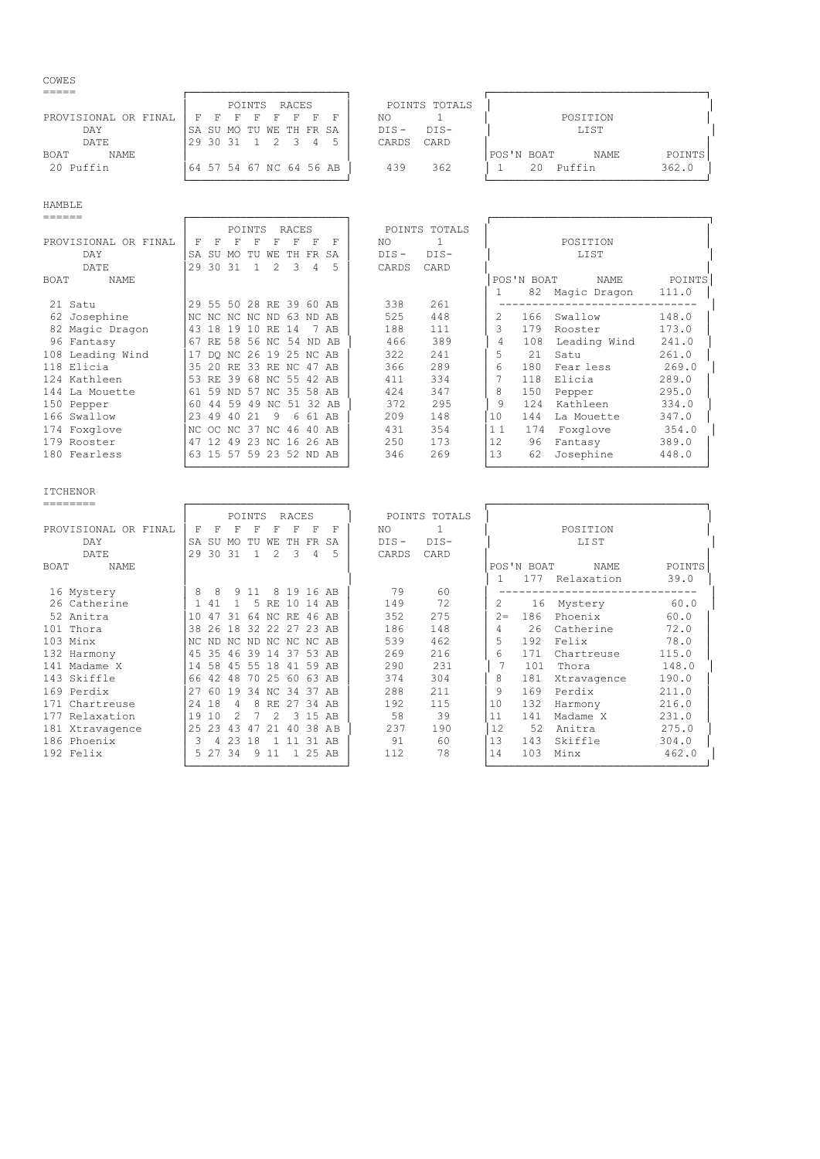#### COWES

|                      | RACES<br>POINTS                           | POINTS TOTALS     |                              |
|----------------------|-------------------------------------------|-------------------|------------------------------|
| PROVISIONAL OR FINAL | <b>FFFFF</b><br>$F-F$                     | NO                | POSITION                     |
| DAY                  | ISA SU MO TU WE TH FR SA                  | $DTS -$<br>$DTS-$ | LIST                         |
| DATE                 | 1 2 3<br> 29 30 31<br>5<br>$\overline{a}$ | CARD<br>CARDS     |                              |
| NAME<br><b>BOAT</b>  |                                           |                   | POINTS<br>POS'N BOAT<br>NAME |
| 20 Puffin            | 64 57 54 67 NC 64 56 AB                   | 362<br>439        | 362.0<br>Puffin<br>20        |
|                      |                                           |                   |                              |

| ______               |                         |     |          |                |               |                         |                |                   |         |               |    |            |              |        |
|----------------------|-------------------------|-----|----------|----------------|---------------|-------------------------|----------------|-------------------|---------|---------------|----|------------|--------------|--------|
|                      |                         |     |          | POINTS         |               | RACES                   |                |                   |         | POINTS TOTALS |    |            |              |        |
| PROVISIONAL OR FINAL | F                       | F   | F        | F              | F             | F                       | F              | F                 | NO.     |               |    |            | POSITION     |        |
| DAY                  | <b>SA</b>               | SU  | MO.      | TU             | WЕ            | TH.                     | FR SA          |                   | $DIS -$ | $DIS-$        |    |            | LIST         |        |
| DATE                 | 29                      | 30  | 31       | $\overline{1}$ | $\mathcal{L}$ | $\overline{\mathbf{3}}$ | $\overline{4}$ | 5                 | CARDS   | CARD          |    |            |              |        |
| NAME<br>BOAT         |                         |     |          |                |               |                         |                |                   |         |               |    | POS'N BOAT | NAME         | POINTS |
|                      |                         |     |          |                |               |                         |                |                   |         |               |    | 82         | Magic Dragon | 111.0  |
| 21 Satu              | 29 55 50 28 RE 39 60 AB |     |          |                |               |                         |                |                   | 338     | 261           |    |            |              |        |
| 62 Josephine         | NC NC NC NC ND 63 ND AB |     |          |                |               |                         |                |                   | 525     | 448           |    | 166        | Swallow      | 148.0  |
| 82 Magic Dragon      | 43                      | 18  | 19 10 RE |                |               | 14                      |                | 7 AB              | 188     | 111           |    | 179        | Rooster      | 173.0  |
| 96 Fantasy           | 67                      | RE. |          |                |               |                         |                | 58 56 NC 54 ND AB | 466     | 389           | 4  | 108        | Leading Wind | 241.0  |
| 108 Leading Wind     | 17                      |     |          |                |               | DO NC 26 19 25 NC AB    |                |                   | 322     | 241           | 5  | 2.1        | Satu         | 261.0  |
| 118 Elicia           | 35                      | 20  | RF.      |                |               | 33 RE NC 47 AB          |                |                   | 366     | 289           | 6  | 180        | Fear less    | 269.0  |
| 124 Kathleen         | 53                      | RE. |          |                |               | 39 68 NC 55 42 AB       |                |                   | 411     | 334           |    | 118        | Elicia       | 289.0  |
| 144 La Mouette       | 61                      | 59  | ND.      |                |               | 57 NC 35 58 AB          |                |                   | 424     | 347           | 8  | 150        | Pepper       | 295.0  |
| 150 Pepper           | 60                      | 44  | 59       | 49             |               | NC 51                   |                | 32 AB             | 372     | 295           | 9  | 124        | Kathleen     | 334.0  |
| 166 Swallow          | 23                      | 49  | 40       | 21             | 9             | 6                       | 61             | AB                | 209     | 148           | 10 | 144        | La Mouette   | 347.0  |
| 174 Foxglove         | NC.                     |     |          |                |               | OC NC 37 NC 46          | 40 AB          |                   | 431     | 354           | 11 | 174        | Foxglove     | 354.0  |
| 179 Rooster          | 47                      | -12 | 49       | 23 NC          |               |                         | 16 26 AB       |                   | 250     | 173           | 12 | 96         | Fantasy      | 389.0  |
| 180 Fearless         | 63 15 57 59 23 52 ND AB |     |          |                |               |                         |                |                   | 346     | 269           | 13 | 62         | Josephine    | 448.0  |
|                      |                         |     |          |                |               |                         |                |                   |         |               |    |            |              |        |

## ITCHENOR

| ---------            |     |      |    |                |               |                   |                |          |         |               |      |            |             |        |
|----------------------|-----|------|----|----------------|---------------|-------------------|----------------|----------|---------|---------------|------|------------|-------------|--------|
|                      |     |      |    | POINTS         |               | RACES             |                |          |         | POINTS TOTALS |      |            |             |        |
| PROVISIONAL OR FINAL | F   | F    | F  | F              |               | F                 | F              | F        | NO.     |               |      |            | POSITION    |        |
| DAY                  | SA  | SU   | MO | TU             | WЕ            | TH.               | FR SA          |          | $DIS -$ | $DIS-$        |      |            | LI ST       |        |
| DATE                 | 29  | 30   | 31 | $\overline{1}$ | 2             | $\mathcal{E}$     | $\overline{4}$ | 5        | CARDS   | CARD          |      |            |             |        |
| BOAT<br>NAME         |     |      |    |                |               |                   |                |          |         |               |      | POS'N BOAT | NAME        | POINTS |
|                      |     |      |    |                |               |                   |                |          |         |               |      | 177        | Relaxation  | 39.0   |
| 16 Mystery           | 8   | 8    |    | 9 1 1          |               | 8 19 16 AB        |                |          | 79      | 60            |      |            |             |        |
| 26 Catherine         |     | 41   |    | .5             | RE.           |                   | 10 14 AB       |          | 149     | 72            | 2    |            | 16 Mystery  | 60.0   |
| 52 Anitra            | 10  | 47   | 31 |                |               | 64 NC RE 46 AB    |                |          | 352     | 275           | $2=$ | 186        | Phoenix     | 60.0   |
| 101 Thora            | 38  | 26   | 18 | 32             | 2.2           | 27                |                | 23 AB    | 186     | 148           | 4    | 2.6        | Catherine   | 72.0   |
| 103 Minx             | NC. | ND.  |    |                |               | NC ND NC NC NC AB |                |          | 539     | 462           | 5    | 192        | Felix       | 78.0   |
| 132 Harmony          | 4.5 | 35   |    | 46 39 14       |               |                   | 37 53 AB       |          | 269     | 216           | 6    | 171        | Chartreuse  | 115.0  |
| 141 Madame X         | 14  | 58   |    | 45 55 18       |               | 41 59 AB          |                |          | 290     | 231           |      | 101        | Thora       | 148.0  |
| 143 Skiffle          | 66  | 42   | 48 | 70             | 25            | 60 63 AB          |                |          | 374     | 304           | 8    | 181        | Xtravagence | 190.0  |
| 169 Perdix           | 27  | 60   | 19 | 34             | NC.           | 34                | 37             | AB       | 288     | 211           | 9    | 169        | Perdix      | 211.0  |
| 171 Chartreuse       | 24  | 18   | 4  | 8              | RE.           | 27                | 34             | AB       | 192     | 115           | 10   | 132        | Harmony     | 216.0  |
| 177 Relaxation       | 19  | 10   | 2  |                | $\mathcal{L}$ | $\mathcal{R}$     | 15             | AB       | 58      | 39            | 11   | 141        | Madame X    | 231.0  |
| 181 Xtravagence      | 2.5 | 23   | 43 | -47            | 21            |                   |                | 40 38 AB | 237     | 190           | 12   | 52         | Anitra      | 275.0  |
| 186 Phoenix          | २   |      | 23 | 18             |               |                   |                | 31 AB    | 91      | 60            | 13   | 143        | Skiffle     | 304.0  |
| 192 Felix            |     | 5 27 | 34 | 9              | 11            |                   | 1 25 AB        |          | 112     | 78            | 14   | 103        | Minx        | 462.0  |

└────────────────────────┘ └─────────────────────────────────┘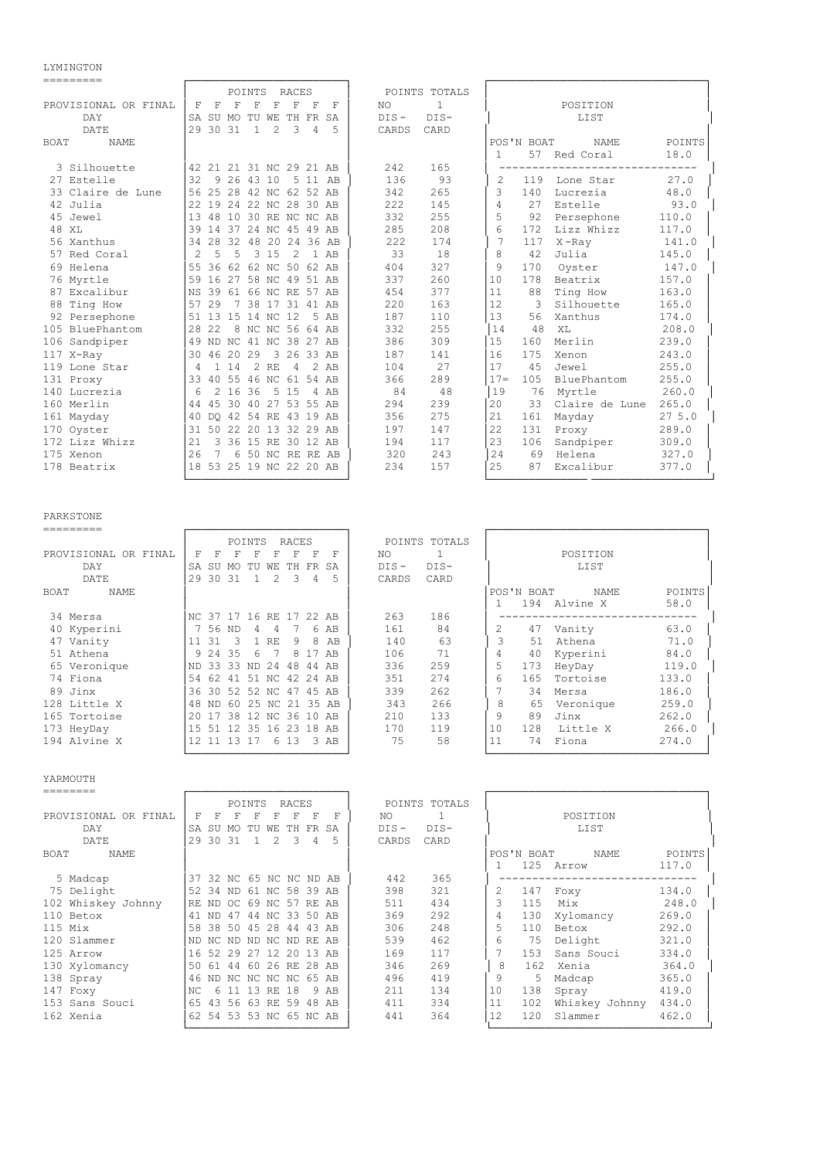# LYMINGTON<br>=========

| =========                  |                |               |                |                |                |                         |          |        |         |               |               |            |                 |        |
|----------------------------|----------------|---------------|----------------|----------------|----------------|-------------------------|----------|--------|---------|---------------|---------------|------------|-----------------|--------|
|                            |                |               |                | POINTS         |                | RACES                   |          |        |         | POINTS TOTALS |               |            |                 |        |
| PROVISIONAL OR FINAL       | F              | F             | F              | F              | F              | F                       | F        | F      | NO.     | $\mathbf{1}$  |               |            | POSITION        |        |
| DAY                        | <b>SA</b>      | SU MO         |                |                | TU WE          |                         | TH FR    | SA     | $DIS -$ | $DIS-$        |               |            | LIST            |        |
| DATE.                      | 29             | 30 31         |                | $\overline{1}$ | $\mathfrak{D}$ | 3                       | 4        | 5      | CARDS   | CARD          |               |            |                 |        |
| <b>BOAT</b><br><b>NAME</b> |                |               |                |                |                |                         |          |        |         |               |               | POS'N BOAT | <b>NAME</b>     | POINTS |
|                            |                |               |                |                |                |                         |          |        |         |               | 1             | 57         | Red Coral       | 18.0   |
| 3 Silhouette               |                |               |                |                |                | 42 21 21 31 NC 29 21 AB |          |        | 242     | 165           |               |            |                 |        |
| 27 Estelle                 | 32             |               | 9 26 43 10     |                |                | .5                      |          | 11 AB  | 136     | 93            | 2             | 119        | Lone Star       | 27.0   |
| 33 Claire de Lune          | 56             |               |                |                |                | 25 28 42 NC 62 52 AB    |          |        | 342     | 265           | $\mathcal{L}$ | 140        | Lucrezia        | 48.0   |
| 42 Julia                   |                |               |                |                |                | 19 24 22 NC 28 30 AB    |          |        | 222     | 145           | 4             | 2.7        | Estelle         | 93.0   |
| 45 Jewel                   | 13             |               |                |                |                | 48 10 30 RE NC NC AB    |          |        | 332     | 255           | 5             | 92         | Persephone      | 110.0  |
| 48 XL                      | 39             |               |                |                |                | 14 37 24 NC 45 49 AB    |          |        | 285     | 208           | 6             | 172        | Lizz Whizz      | 117.0  |
| 56 Xanthus                 | 34             |               |                |                |                | 28 32 48 20 24 36 AB    |          |        | 222     | 174           | 7             | 117        | $X$ -Ray        | 141.0  |
| 57 Red Coral               | $\mathfrak{D}$ | 5             | 5              | 3              | 15             | $\mathcal{L}$           |          | $1$ AB | 33      | 18            | 8             | 42         | Julia           | 145.0  |
| 69 Helena                  | 55             |               |                |                |                | 36 62 62 NC 50 62 AB    |          |        | 404     | 327           | 9             | 170        | Oyster          | 147.0  |
| 76 Myrtle                  | 59             | 16            |                |                |                | 27 58 NC 49 51 AB       |          |        | 337     | 260           | 10            | 178        | Beatrix         | 157.0  |
| 87 Excalibur               | <b>NS</b>      | 39            |                |                |                | 61 66 NC RE 57 AB       |          |        | 454     | 377           | 11            | 88         | Ting How        | 163.0  |
| 88 Ting How                | 57             | 29            |                | 7 38 17        |                | 31 41 AB                |          |        | 220     | 163           | 12            | 3          | Silhouette      | 165.0  |
| 92 Persephone              | 51             |               | 13 15 14 NC 12 |                |                |                         |          | 5 AB   | 187     | 110           | 13            | 56         | Xanthus         | 174.0  |
| 105 BluePhantom            | 2.8            | 22            |                |                |                | 8 NC NC 56 64 AB        |          |        | 332     | 255           | 14            | 48         | XT <sub>1</sub> | 208.0  |
| 106 Sandpiper              | 49             |               |                |                |                | ND NC 41 NC 38 27 AB    |          |        | 386     | 309           | 15            | 160        | Merlin          | 239.0  |
| 117 X-Ray                  | 30             | 46            | 20 29          |                | 3              |                         | 26 33 AB |        | 187     | 141           | 16            | 175        | Xenon           | 243.0  |
| 119 Lone Star              | 4              | $\mathbf{1}$  | 14             | $\mathfrak{D}$ | <b>RF</b>      | $\overline{4}$          |          | 2 AR   | 104     | 2.7           | 17            | 4.5        | Jewel           | 255.0  |
| 131 Proxy                  |                | 33 40 55      |                |                |                | 46 NC 61 54 AB          |          |        | 366     | 289           | $17 =$        | 105        | BluePhantom     | 255.0  |
| 140 Lucrezia               | 6              | $\mathcal{L}$ | 16             | 36             | .5             | 15                      |          | 4 AB   | 84      | 48            | 19            | 76         | Myrtle          | 260.0  |
| 160 Merlin                 | 44             | 45            |                |                |                | 30 40 27 53 55 AB       |          |        | 294     | 239           | 20            | 33         | Claire de Lune  | 265.0  |
| 161 Mayday                 | 40             |               |                |                |                | DO 42 54 RE 43 19 AB    |          |        | 356     | 275           | 21            | 161        | Mayday          | 275.0  |
| 170 Oyster                 | 31             |               | 502220         |                | 13             |                         | 32 29 AB |        | 197     | 147           | 2.2.          | 131        | Proxy           | 289.0  |
| 172 Lizz Whizz             | 21             |               |                |                |                | 3 36 15 RE 30 12 AB     |          |        | 194     | 117           | 23            | 106        | Sandpiper       | 309.0  |
| 175 Xenon                  | 26             |               |                |                |                | 6 50 NC RE RE AB        |          |        | 320     | 243           | 24            | 69         | Helena          | 327.0  |
| 178 Beatrix                | 18             |               |                |                |                | 53 25 19 NC 22 20 AB    |          |        | 234     | 157           | 2.5           | 87         | Excalibur       | 377.0  |
|                            |                |               |                |                |                |                         |          |        |         |               |               |            |                 |        |

PARKSTONE<br>=========

|                      |           |                         | POINTS      |       | RACES          |       |       | POINTS TOTALS     |    |            |           |        |
|----------------------|-----------|-------------------------|-------------|-------|----------------|-------|-------|-------------------|----|------------|-----------|--------|
| PROVISIONAL OR FINAL | F         | F<br>F                  |             |       |                | F     | F     | NO.               |    |            | POSITION  |        |
| DAY                  | <b>SA</b> | -SU<br>MO               | TU          | WЕ    | TH.            | FR.   | SA    | $DIS-$<br>$DIS -$ |    |            | LIST      |        |
| DATE                 | 29        | 30<br>-31               |             | 2     | 3              | 4     | 5     | CARD<br>CARDS     |    |            |           |        |
| BOAT<br>NAME         |           |                         |             |       |                |       |       |                   |    | POS'N BOAT | NAME      | POINTS |
|                      |           |                         |             |       |                |       |       |                   |    | 194        | Alvine X  | 58.0   |
| 34 Mersa             |           | NC 37 17 16 RE 17 22 AB |             |       |                |       |       | 263<br>186        |    |            |           |        |
| 40 Kyperini          |           | 56<br>ND.               | 4           | 4     |                |       | 6 AB  | 161<br>84         | 2  | 47         | Vanity    | 63.0   |
| 47 Vanity            | 11        | 31                      |             | RE    | 9              | 8     | AB    | 140<br>63         | 3  | 51         | Athena    | 71.0   |
| 51 Athena            | q         | 35<br>- 24              | 6           |       | 8              |       | AB    | 71<br>106         | 4  | 40         | Kyperini  | 84.0   |
| 65 Veronique         | ND.       | 33<br>33                | ND.         | 24    | 48             |       | 44 AB | 336<br>259        | 5  | 173        | HeyDay    | 119.0  |
| 74 Fiona             | .54       | 62<br>41                | 51          | NC 42 |                | 24 AB |       | 274<br>351        | б  | 165        | Tortoise  | 133.0  |
| 89 Jinx              | 36        | 30                      | 52 52 NC 47 |       |                | 45 AB |       | 339<br>262        |    | 34         | Mersa     | 186.0  |
| 128 Little X         | 48        | -60<br>ND.              |             |       | 25 NC 21 35 AB |       |       | 266<br>343        | 8  | 65         | Veronique | 259.0  |
| 165 Tortoise         | 20        | 38                      |             |       | 12 NC 36 10    |       | AB    | 133<br>210        | 9  | 89         | Jinx      | 262.0  |
| 173 HeyDay           | 15        | .51                     | 12 35       | 16 23 |                | 18 AB |       | 170<br>119        | 10 | 128        | Little X  | 266.0  |
| 194 Alvine X         | 12        | 11 13                   | 17          |       | 6 13           |       | 3 AB  | 75<br>58          | 11 | 74         | Fiona     | 274.0  |
|                      |           |                         |             |       |                |       |       |                   |    |            |           |        |

YARMOUTH

|                      |                         | POINTS         |                | RACES    |       |      |         | POINTS TOTALS |    |            |                |        |
|----------------------|-------------------------|----------------|----------------|----------|-------|------|---------|---------------|----|------------|----------------|--------|
| PROVISIONAL OR FINAL | F<br>F                  | F              | н              |          | F     | F    | NO.     |               |    |            | POSITION       |        |
| DAY                  | SA<br>SU                | TU<br>MO.      | WF.            | TH.      | FR.   | SA   | $DIS -$ | $DIS-$        |    |            | LIST           |        |
| DATE                 | 29<br>30                | 31             | $\mathcal{P}$  | 3        | 4     | 5    | CARDS   | CARD          |    |            |                |        |
| BOAT<br>NAME         |                         |                |                |          |       |      |         |               |    | POS'N BOAT | NAME           | POINTS |
|                      |                         |                |                |          |       |      |         |               |    | 125        | Arrow          | 117.0  |
| 5 Madcap             | 37 32 NC 65 NC NC ND AB |                |                |          |       |      | 442     | 365           |    |            |                |        |
| 75 Delight           | 52 34                   | ND             | 61 NC 58 39 AB |          |       |      | 398     | 321           |    | 147        | Foxy           | 134.0  |
| 102 Whiskey Johnny   | RF.<br>ND.              | -OC.           | 69 NC          | 57 RE AB |       |      | 511     | 434           |    | 115        | Mix            | 248.0  |
| 110 Betox            | 41<br>ND.               | 44<br>-47      | NC.            | 33       | 50    | AB   | 369     | 292           |    | 130        | Xylomancy      | 269.0  |
| $115$ Mix            | 58<br>38                | 45<br>50       | 28             | 44       | 43    | AR   | 306     | 248           |    | 110        | Betox          | 292.0  |
| 120 Slammer          | ND.<br>NC.              | ND.<br>ND.     | NC.            | ND RE    |       | AR   | 539     | 462           | 6  | 75         | Delight        | 321.0  |
| 125 Arrow            | 16<br>52                | 29 27          |                | 12 20 13 |       | AB   | 169     | 117           |    | 153        | Sans Souci     | 334.0  |
| 130 Xylomancy        | 50<br>61                | 44             | 60             | 26 RE    | 2.8   | AB   | 346     | 269           | 8  | 162        | Xenia          | 364.0  |
| 138 Spray            | 46<br>ND.               | NC NC NC NC 65 |                |          |       | AB   | 496     | 419           | 9  | 5          | Madcap         | 365.0  |
| 147 Foxy             | NC<br>6                 | 13             | RE             | 18       |       | 9 AB | 211     | 134           | 10 | 138        | Spray          | 419.0  |
| 153 Sans Souci       | 65<br>43                | 56 63 RE 59    |                |          | 48 AB |      | 411     | 334           | 11 | 102        | Whiskey Johnny | 434.0  |
| 162 Xenia            | 62 54 53 53 NC 65 NC AB |                |                |          |       |      | 441     | 364           | 12 | 120        | Slammer        | 462.0  |
|                      |                         |                |                |          |       |      |         |               |    |            |                |        |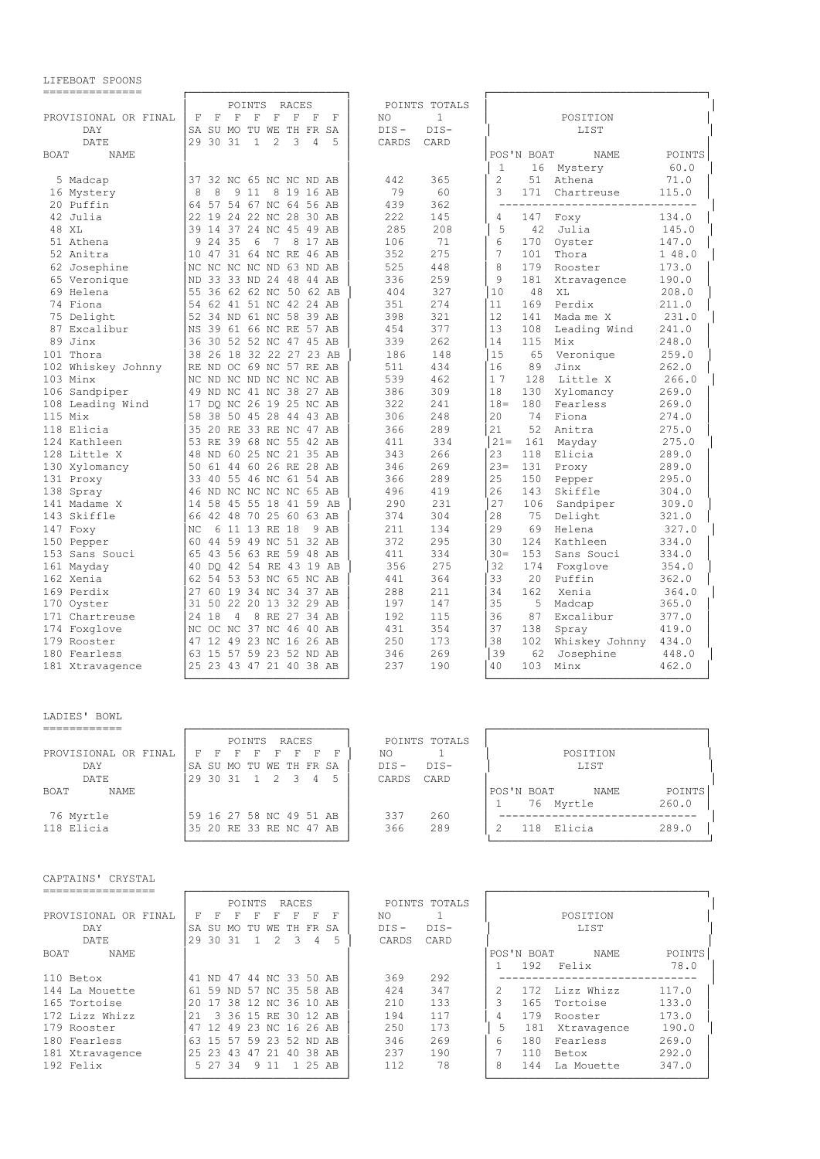|                            |                         |             |               | POINTS       |            | RACES                |                |      |         | POINTS TOTALS |               |            |                |        |
|----------------------------|-------------------------|-------------|---------------|--------------|------------|----------------------|----------------|------|---------|---------------|---------------|------------|----------------|--------|
| PROVISIONAL OR FINAL       | $_{\rm F}$              | $\mathbb F$ | F             | F            | $_{\rm F}$ | F                    | F              | F    | NO.     | $\mathbf{1}$  |               |            | POSITION       |        |
| DAY                        | SA SU MO TU WE TH FR SA |             |               |              |            |                      |                |      | $DIS -$ | $DIS-$        |               |            | LIST           |        |
| DATE                       | 29                      | 30 31       |               | $\mathbf{1}$ | 2          | 3                    | $\overline{4}$ | 5    | CARDS   | CARD          |               |            |                |        |
| <b>BOAT</b><br><b>NAME</b> |                         |             |               |              |            |                      |                |      |         |               |               | POS'N BOAT | <b>NAME</b>    | POINTS |
|                            |                         |             |               |              |            |                      |                |      |         |               | $\mathbf{1}$  |            | 16 Mystery     | 60.0   |
| 5 Madcap                   | 37 32 NC 65 NC NC ND AB |             |               |              |            |                      |                |      | 442     | 365           | $\mathcal{L}$ | 51         | Athena         | 71.0   |
|                            | 8                       | 8           |               | 9 1 1        |            |                      |                |      |         |               | 3             |            |                |        |
| 16 Mystery                 |                         |             |               |              |            | 8 19 16 AB           |                |      | 79      | 60            |               | 171        | Chartreuse     | 115.0  |
| 20 Puffin                  | 64                      |             |               |              |            | 57 54 67 NC 64 56 AB |                |      | 439     | 362           |               |            |                |        |
| 42 Julia                   | 22 19 24 22 NC 28 30 AB |             |               |              |            |                      |                |      | 222     | 145           | 4             | 147        | Foxy           | 134.0  |
| 48 XL                      | 39                      |             |               |              |            | 14 37 24 NC 45 49 AB |                |      | 285     | 208           | 5             | 42         | Julia          | 145.0  |
| 51 Athena                  | Q                       | 24 35       |               | 6            | 7          |                      | 8 17 AB        |      | 106     | 71            | 6             | 170        | Oyster         | 147.0  |
| 52 Anitra                  | 10                      |             |               |              |            | 47 31 64 NC RE 46 AB |                |      | 352     | 275           | 7             | 101        | Thora          | 148.0  |
| 62 Josephine               | NC NC NC NC ND 63 ND AB |             |               |              |            |                      |                |      | 525     | 448           | 8             | 179        | Rooster        | 173.0  |
| 65 Veronique               | <b>ND</b>               |             |               |              |            | 33 33 ND 24 48 44 AB |                |      | 336     | 259           | 9             | 181        | Xtravagence    | 190.0  |
| 69 Helena                  | 55                      |             |               |              |            | 36 62 62 NC 50 62 AB |                |      | 404     | 327           | 10            | 48         | XT.            | 208.0  |
| 74 Fiona                   | 54 62 41 51 NC 42 24 AB |             |               |              |            |                      |                |      | 351     | 274           | 11            | 169        | Perdix         | 211.0  |
| 75 Delight                 | 52                      |             |               |              |            | 34 ND 61 NC 58 39 AB |                |      | 398     | 321           | 12            | 141        | Mada me X      | 231.0  |
| 87 Excalibur               | <b>NS</b>               |             |               |              |            | 39 61 66 NC RE 57 AB |                |      | 454     | 377           | 13            | 108        | Leading Wind   | 241.0  |
| 89 Jinx                    | 36                      |             |               |              |            | 30 52 52 NC 47 45 AB |                |      | 339     | 262           | 14            | 115        | Mix            | 248.0  |
| 101 Thora                  | 38                      |             |               |              |            | 26 18 32 22 27 23 AB |                |      | 186     | 148           | 15            | 65         | Veronique      | 259.0  |
| 102 Whiskey Johnny         | RF.                     |             |               |              |            | ND OC 69 NC 57 RE AB |                |      | 511     | 434           | 16            | 89         | Jinx           | 262.0  |
| 103 Minx                   | NC                      |             |               |              |            | ND NC ND NC NC NC AB |                |      | 539     | 462           | 17            | 128        | Little X       | 266.0  |
| 106 Sandpiper              | 49                      |             |               |              |            | ND NC 41 NC 38 27 AB |                |      | 386     | 309           | 18            | 130        | Xylomancy      | 269.0  |
| 108 Leading Wind           | 17                      |             |               |              |            | DO NC 26 19 25 NC AB |                |      | 322     | 241           | $18 =$        | 180        | Fearless       | 269.0  |
| 115 Mix                    | 58                      |             |               |              |            | 38 50 45 28 44 43 AB |                |      | 306     | 248           | 20            | 74         | Fiona          | 274.0  |
| 118 Elicia                 | 35                      |             |               |              |            | 20 RE 33 RE NC 47 AB |                |      | 366     | 289           | 21            | 52         | Anitra         | 275.0  |
|                            | 53 RE 39 68 NC 55 42 AB |             |               |              |            |                      |                |      | 411     | 334           | $21 =$        |            |                |        |
| 124 Kathleen               |                         |             |               |              |            |                      |                |      |         |               |               | 161        | Mayday         | 275.0  |
| 128 Little X               | 48                      |             |               |              |            | ND 60 25 NC 21 35 AB |                |      | 343     | 266           | 23            | 118        | Elicia         | 289.0  |
| 130 Xylomancy              | 50                      |             |               |              |            | 61 44 60 26 RE 28 AB |                |      | 346     | 269           | $23=$         | 131        | Proxy          | 289.0  |
| 131 Proxy                  | 33                      |             |               |              |            | 40 55 46 NC 61 54 AB |                |      | 366     | 289           | 25            | 150        | Pepper         | 295.0  |
| 138 Spray                  | 46                      |             |               |              |            | ND NC NC NC NC 65 AB |                |      | 496     | 419           | 26            | 143        | Skiffle        | 304.0  |
| 141 Madame X               | 14                      |             |               |              |            | 58 45 55 18 41 59 AB |                |      | 290     | 231           | 27            | 106        | Sandpiper      | 309.0  |
| 143 Skiffle                | 66                      |             |               |              |            | 42 48 70 25 60 63 AB |                |      | 374     | 304           | 28            | 75         | Delight        | 321.0  |
| 147 Foxy                   | NC.                     |             | 6 11 13 RE 18 |              |            |                      |                | 9 AB | 211     | 134           | 29            | 69         | Helena         | 327.0  |
| 150 Pepper                 | 60                      |             |               |              |            | 44 59 49 NC 51 32 AB |                |      | 372     | 295           | 30            | 12.4       | Kathleen       | 334.0  |
| 153 Sans Souci             | 65                      |             |               |              |            | 43 56 63 RE 59 48 AB |                |      | 411     | 334           | $30 =$        | 153        | Sans Souci     | 334.0  |
| 161 Mayday                 | 40 DO 42 54 RE 43 19 AB |             |               |              |            |                      |                |      | 356     | 275           | 32            | 174        | Foxglove       | 354.0  |
| 162 Xenia                  | 62                      |             |               |              |            | 54 53 53 NC 65 NC AB |                |      | 441     | 364           | 33            | 2.0        | Puffin         | 362.0  |
| 169 Perdix                 | 2.7                     |             |               |              |            | 60 19 34 NC 34 37 AB |                |      | 288     | 211           | 34            | 162        | Xenia          | 364.0  |
| 170 Oyster                 | 31                      |             |               |              |            | 50 22 20 13 32 29 AB |                |      | 197     | 147           | 35            | 5          | Madcap         | 365.0  |
| 171 Chartreuse             | 24 18                   |             | 4             |              |            | 8 RE 27 34 AB        |                |      | 192     | 115           | 36            | 87         | Excalibur      | 377.0  |
| 174 Foxglove               | NC                      |             |               |              |            | OC NC 37 NC 46 40 AB |                |      | 431     | 354           | 37            | 138        | Spray          | 419.0  |
| 179 Rooster                | 47 12 49 23 NC 16 26 AB |             |               |              |            |                      |                |      | 250     | 173           | 38            | 102        | Whiskey Johnny | 434.0  |
| 180 Fearless               | 63                      |             |               |              |            | 15 57 59 23 52 ND AB |                |      | 346     | 269           | 39            | 62         | Josephine      | 448.0  |
| 181 Xtravagence            | 25 23 43 47 21 40 38 AB |             |               |              |            |                      |                |      | 237     | 190           | 40            | 103        | Minx           | 462.0  |
|                            |                         |             |               |              |            |                      |                |      |         |               |               |            |                |        |

LADIES' BOWL<br>============

|                      | RACES<br>POINTS                         | POINTS TOTALS                     |  |
|----------------------|-----------------------------------------|-----------------------------------|--|
| PROVISIONAL OR FINAL | F<br>F<br>F.<br>F.                      | POSITION<br>NO                    |  |
| DAY                  | SA SU MO TU WE TH FR SA                 | $DIS -$<br>$DIS-$<br>LIST         |  |
| DATE                 | $1 \quad 2 \quad 3$<br>29 30 31<br>$-4$ | CARDS<br>CARD                     |  |
| BOAT<br>NAME         |                                         | POINTS<br>POS'N BOAT<br>NAME      |  |
|                      |                                         | 260.0<br>76 Myrtle                |  |
| 76 Myrtle            | 159 16 27 58 NC 49 51 AB                | 260<br>337                        |  |
| 118 Elicia           | 35 20 RE 33 RE NC 47 AB                 | 289<br>366<br>289.0<br>118 Elicia |  |
|                      |                                         |                                   |  |

| CAPTAINS' | CRYSTAL |
|-----------|---------|
|           |         |

| ----------------        |                                                                 |                       |
|-------------------------|-----------------------------------------------------------------|-----------------------|
|                         | <b>POINTS</b><br>RACES<br>POINTS TOTALS                         |                       |
| PROVISIONAL<br>OR FINAL | F<br>NO.<br>F<br>F<br>F<br>F<br>F                               | POSITION              |
| DAY                     | $DIS-$<br>$DIS -$<br>TU<br>WЕ<br>TH FR SA<br>SU<br>MO           | LIST                  |
| DATE.                   | 30<br>-31<br>2<br>CARDS<br>CARD<br>4<br>5                       |                       |
| BOAT<br>NAME            | POS'N BOAT                                                      | POINTS<br><b>NAME</b> |
|                         | 192                                                             | 78.0<br>Felix         |
| 110 Betox               | 292<br>369<br>47<br>44 NC 33 50 AB<br>ND.                       |                       |
| 144 La Mouette          | 347<br>59 ND 57 NC 35 58<br>424<br>172<br>AB                    | 117.0<br>Lizz Whizz   |
| 165 Tortoise            | 133<br>38 12 NC 36 10<br>210<br>165<br>AB                       | 133.0<br>Tortoise     |
| $172$ Lizz Whizz        | 117<br>3 36 15 RE 30 12 AB<br>194<br>179                        | 173.0<br>Rooster      |
| 179 Rooster             | 49 23 NC 16 26 AB<br>250<br>173<br>5<br>181<br>12               | 190.0<br>Xtravagence  |
| 180 Fearless            | 269<br>346<br>б<br>180<br>59<br>23<br>52.<br>15<br>57<br>ND AB  | 269.0<br>Fearless     |
| 181 Xtravagence         | 237<br>190<br>43<br>2.1<br>-38<br>110<br>-23<br>40<br>AB<br>-47 | 292.0<br>Betox        |
| $192$ Felix             | 78<br>112<br>8<br>5 27<br>-34<br>1 25 AB<br>9 1 1<br>144        | 347.0<br>La Mouette   |
|                         |                                                                 |                       |